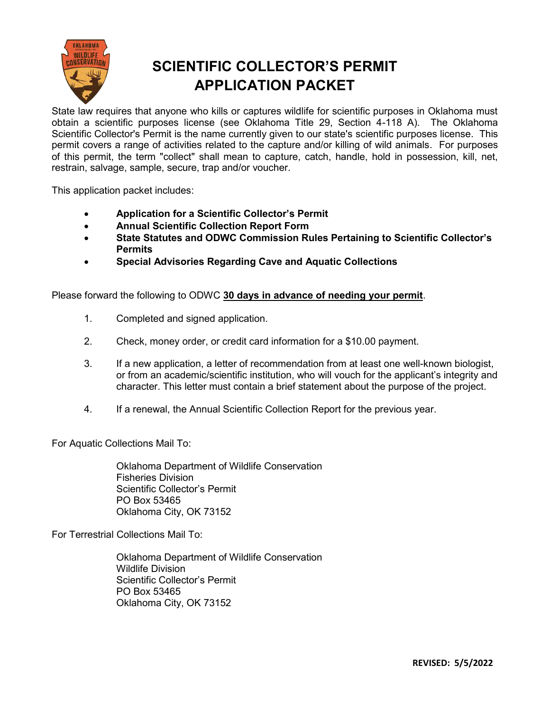

# **SCIENTIFIC COLLECTOR'S PERMIT APPLICATION PACKET**

State law requires that anyone who kills or captures wildlife for scientific purposes in Oklahoma must obtain a scientific purposes license (see Oklahoma Title 29, Section 4-118 A). The Oklahoma Scientific Collector's Permit is the name currently given to our state's scientific purposes license. This permit covers a range of activities related to the capture and/or killing of wild animals. For purposes of this permit, the term "collect" shall mean to capture, catch, handle, hold in possession, kill, net, restrain, salvage, sample, secure, trap and/or voucher.

This application packet includes:

- **Application for a Scientific Collector's Permit**
- **Annual Scientific Collection Report Form**
- **State Statutes and ODWC Commission Rules Pertaining to Scientific Collector's Permits**
- **Special Advisories Regarding Cave and Aquatic Collections**

Please forward the following to ODWC **30 days in advance of needing your permit**.

- 1. Completed and signed application.
- 2. Check, money order, or credit card information for a \$10.00 payment.
- 3. If a new application, a letter of recommendation from at least one well-known biologist, or from an academic/scientific institution, who will vouch for the applicant's integrity and character. This letter must contain a brief statement about the purpose of the project.
- 4. If a renewal, the Annual Scientific Collection Report for the previous year.

For Aquatic Collections Mail To:

Oklahoma Department of Wildlife Conservation Fisheries Division Scientific Collector's Permit PO Box 53465 Oklahoma City, OK 73152

For Terrestrial Collections Mail To:

Oklahoma Department of Wildlife Conservation Wildlife Division Scientific Collector's Permit PO Box 53465 Oklahoma City, OK 73152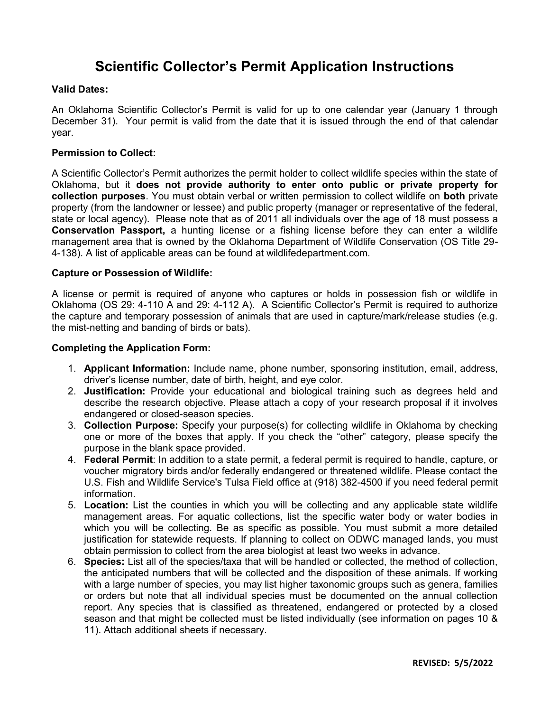# **Scientific Collector's Permit Application Instructions**

### **Valid Dates:**

An Oklahoma Scientific Collector's Permit is valid for up to one calendar year (January 1 through December 31). Your permit is valid from the date that it is issued through the end of that calendar year.

### **Permission to Collect:**

A Scientific Collector's Permit authorizes the permit holder to collect wildlife species within the state of Oklahoma, but it **does not provide authority to enter onto public or private property for collection purposes**. You must obtain verbal or written permission to collect wildlife on **both** private property (from the landowner or lessee) and public property (manager or representative of the federal, state or local agency). Please note that as of 2011 all individuals over the age of 18 must possess a **Conservation Passport,** a hunting license or a fishing license before they can enter a wildlife management area that is owned by the Oklahoma Department of Wildlife Conservation (OS Title 29- 4-138). A list of applicable areas can be found at wildlifedepartment.com.

### **Capture or Possession of Wildlife:**

A license or permit is required of anyone who captures or holds in possession fish or wildlife in Oklahoma (OS 29: 4-110 A and 29: 4-112 A). A Scientific Collector's Permit is required to authorize the capture and temporary possession of animals that are used in capture/mark/release studies (e.g. the mist-netting and banding of birds or bats).

### **Completing the Application Form:**

- 1. **Applicant Information:** Include name, phone number, sponsoring institution, email, address, driver's license number, date of birth, height, and eye color.
- 2. **Justification:** Provide your educational and biological training such as degrees held and describe the research objective. Please attach a copy of your research proposal if it involves endangered or closed-season species.
- 3. **Collection Purpose:** Specify your purpose(s) for collecting wildlife in Oklahoma by checking one or more of the boxes that apply. If you check the "other" category, please specify the purpose in the blank space provided.
- 4. **Federal Permit**: In addition to a state permit, a federal permit is required to handle, capture, or voucher migratory birds and/or federally endangered or threatened wildlife. Please contact the U.S. Fish and Wildlife Service's Tulsa Field office at (918) 382-4500 if you need federal permit information.
- 5. **Location:** List the counties in which you will be collecting and any applicable state wildlife management areas. For aquatic collections, list the specific water body or water bodies in which you will be collecting. Be as specific as possible. You must submit a more detailed justification for statewide requests. If planning to collect on ODWC managed lands, you must obtain permission to collect from the area biologist at least two weeks in advance.
- 6. **Species:** List all of the species/taxa that will be handled or collected, the method of collection, the anticipated numbers that will be collected and the disposition of these animals. If working with a large number of species, you may list higher taxonomic groups such as genera, families or orders but note that all individual species must be documented on the annual collection report. Any species that is classified as threatened, endangered or protected by a closed season and that might be collected must be listed individually (see information on pages 10 & 11). Attach additional sheets if necessary.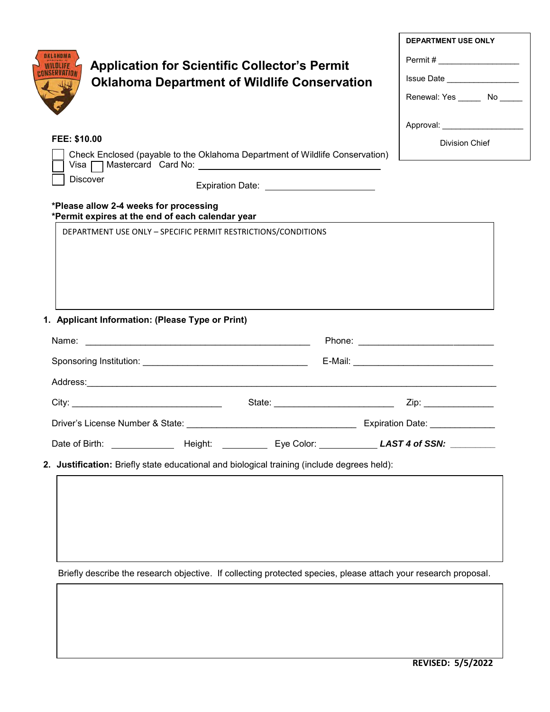|              |                                                                                                                 | <b>Application for Scientific Collector's Permit</b><br><b>Oklahoma Department of Wildlife Conservation</b> |                                            | <b>DEPARTMENT USE ONLY</b><br>Permit # _____________________<br>Issue Date _________________<br>Renewal: Yes _______ No ______<br>Approval: New York Change of the Approval Change of the Approval Change of the Approval Change of the Approval |
|--------------|-----------------------------------------------------------------------------------------------------------------|-------------------------------------------------------------------------------------------------------------|--------------------------------------------|--------------------------------------------------------------------------------------------------------------------------------------------------------------------------------------------------------------------------------------------------|
| FEE: \$10.00 |                                                                                                                 |                                                                                                             |                                            | <b>Division Chief</b>                                                                                                                                                                                                                            |
|              | Check Enclosed (payable to the Oklahoma Department of Wildlife Conservation)                                    |                                                                                                             |                                            |                                                                                                                                                                                                                                                  |
|              | <b>Discover</b>                                                                                                 |                                                                                                             | Expiration Date: _________________________ |                                                                                                                                                                                                                                                  |
|              | *Please allow 2-4 weeks for processing<br>*Permit expires at the end of each calendar year                      |                                                                                                             |                                            |                                                                                                                                                                                                                                                  |
|              | DEPARTMENT USE ONLY - SPECIFIC PERMIT RESTRICTIONS/CONDITIONS                                                   |                                                                                                             |                                            |                                                                                                                                                                                                                                                  |
|              | 1. Applicant Information: (Please Type or Print)                                                                |                                                                                                             |                                            |                                                                                                                                                                                                                                                  |
|              |                                                                                                                 |                                                                                                             |                                            |                                                                                                                                                                                                                                                  |
|              |                                                                                                                 |                                                                                                             |                                            |                                                                                                                                                                                                                                                  |
|              |                                                                                                                 |                                                                                                             |                                            |                                                                                                                                                                                                                                                  |
|              |                                                                                                                 |                                                                                                             |                                            |                                                                                                                                                                                                                                                  |
|              |                                                                                                                 |                                                                                                             |                                            |                                                                                                                                                                                                                                                  |
|              |                                                                                                                 |                                                                                                             |                                            |                                                                                                                                                                                                                                                  |
|              | 2. Justification: Briefly state educational and biological training (include degrees held):                     |                                                                                                             |                                            |                                                                                                                                                                                                                                                  |
|              |                                                                                                                 |                                                                                                             |                                            |                                                                                                                                                                                                                                                  |
|              | Briefly describe the research objective. If collecting protected species, please attach your research proposal. |                                                                                                             |                                            |                                                                                                                                                                                                                                                  |
|              |                                                                                                                 |                                                                                                             |                                            |                                                                                                                                                                                                                                                  |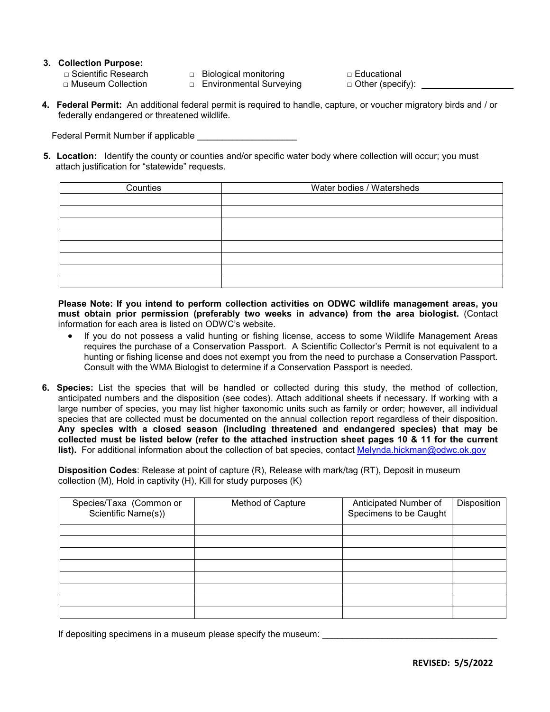# **3. Collection Purpose:**

- -

□ Scientific Research □ Biological monitoring □ Educational<br>□ Museum Collection □ Environmental Surveying □ Other (specify): \_ □ Environmental Surveying

**4. Federal Permit:** An additional federal permit is required to handle, capture, or voucher migratory birds and / or federally endangered or threatened wildlife.

Federal Permit Number if applicable

**5. Location:** Identify the county or counties and/or specific water body where collection will occur; you must attach justification for "statewide" requests.

| Counties | Water bodies / Watersheds |
|----------|---------------------------|
|          |                           |
|          |                           |
|          |                           |
|          |                           |
|          |                           |
|          |                           |
|          |                           |
|          |                           |

**Please Note: If you intend to perform collection activities on ODWC wildlife management areas, you must obtain prior permission (preferably two weeks in advance) from the area biologist.** (Contact information for each area is listed on ODWC's website.

- If you do not possess a valid hunting or fishing license, access to some Wildlife Management Areas requires the purchase of a Conservation Passport. A Scientific Collector's Permit is not equivalent to a hunting or fishing license and does not exempt you from the need to purchase a Conservation Passport. Consult with the WMA Biologist to determine if a Conservation Passport is needed.
- **6. Species:** List the species that will be handled or collected during this study, the method of collection, anticipated numbers and the disposition (see codes). Attach additional sheets if necessary. If working with a large number of species, you may list higher taxonomic units such as family or order; however, all individual species that are collected must be documented on the annual collection report regardless of their disposition. **Any species with a closed season (including threatened and endangered species) that may be collected must be listed below (refer to the attached instruction sheet pages 10 & 11 for the current** list). For additional information about the collection of bat species, contact [Melynda.hickman@odwc.ok.gov](mailto:Melynda.hickman@odwc.ok.gov)

**Disposition Codes**: Release at point of capture (R), Release with mark/tag (RT), Deposit in museum collection (M), Hold in captivity (H), Kill for study purposes (K)

| Species/Taxa (Common or<br>Scientific Name(s)) | Method of Capture | Anticipated Number of<br>Specimens to be Caught | Disposition |
|------------------------------------------------|-------------------|-------------------------------------------------|-------------|
|                                                |                   |                                                 |             |
|                                                |                   |                                                 |             |
|                                                |                   |                                                 |             |
|                                                |                   |                                                 |             |
|                                                |                   |                                                 |             |
|                                                |                   |                                                 |             |
|                                                |                   |                                                 |             |
|                                                |                   |                                                 |             |

If depositing specimens in a museum please specify the museum: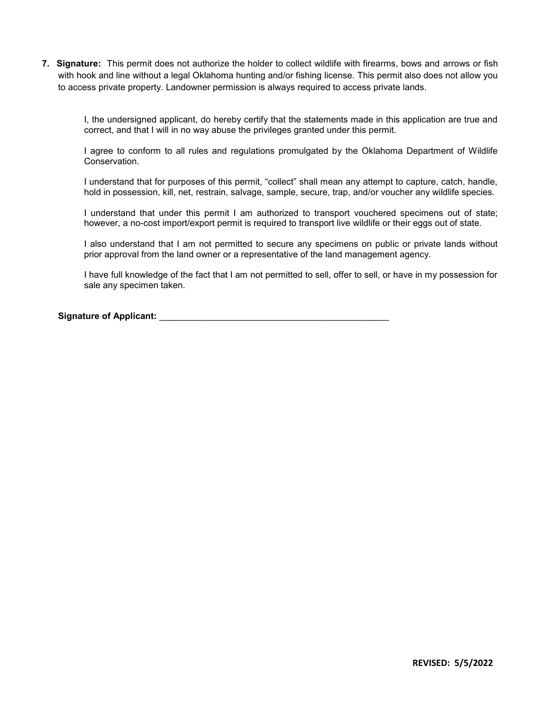**7. Signature:** This permit does not authorize the holder to collect wildlife with firearms, bows and arrows or fish with hook and line without a legal Oklahoma hunting and/or fishing license. This permit also does not allow you to access private property. Landowner permission is always required to access private lands.

I, the undersigned applicant, do hereby certify that the statements made in this application are true and correct, and that I will in no way abuse the privileges granted under this permit.

I agree to conform to all rules and regulations promulgated by the Oklahoma Department of Wildlife Conservation.

I understand that for purposes of this permit, "collect" shall mean any attempt to capture, catch, handle, hold in possession, kill, net, restrain, salvage, sample, secure, trap, and/or voucher any wildlife species.

I understand that under this permit I am authorized to transport vouchered specimens out of state; however, a no-cost import/export permit is required to transport live wildlife or their eggs out of state.

I also understand that I am not permitted to secure any specimens on public or private lands without prior approval from the land owner or a representative of the land management agency.

I have full knowledge of the fact that I am not permitted to sell, offer to sell, or have in my possession for sale any specimen taken.

### **Signature of Applicant:** \_\_\_\_\_\_\_\_\_\_\_\_\_\_\_\_\_\_\_\_\_\_\_\_\_\_\_\_\_\_\_\_\_\_\_\_\_\_\_\_\_\_\_\_\_\_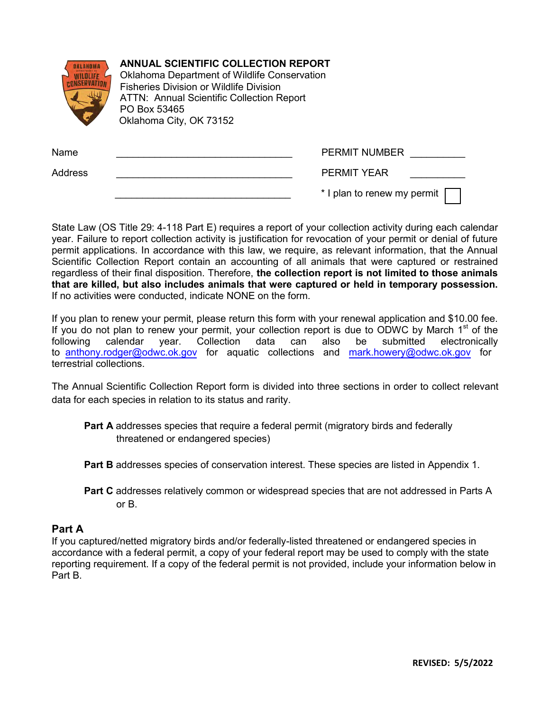|         | <b>ANNUAL SCIENTIFIC COLLECTION REPORT</b><br>Oklahoma Department of Wildlife Conservation<br><b>Fisheries Division or Wildlife Division</b><br><b>ATTN: Annual Scientific Collection Report</b><br>PO Box 53465<br>Oklahoma City, OK 73152 |                             |
|---------|---------------------------------------------------------------------------------------------------------------------------------------------------------------------------------------------------------------------------------------------|-----------------------------|
| Name    |                                                                                                                                                                                                                                             | <b>PERMIT NUMBER</b>        |
| Address |                                                                                                                                                                                                                                             | <b>PERMIT YEAR</b>          |
|         |                                                                                                                                                                                                                                             | * I plan to renew my permit |

State Law (OS Title 29: 4-118 Part E) requires a report of your collection activity during each calendar year. Failure to report collection activity is justification for revocation of your permit or denial of future permit applications. In accordance with this law, we require, as relevant information, that the Annual Scientific Collection Report contain an accounting of all animals that were captured or restrained regardless of their final disposition. Therefore, **the collection report is not limited to those animals that are killed, but also includes animals that were captured or held in temporary possession.** If no activities were conducted, indicate NONE on the form.

If you plan to renew your permit, please return this form with your renewal application and \$10.00 fee. If you do not plan to renew your permit, your collection report is due to ODWC by March 1<sup>st</sup> of the following calendar year. Collection data can also be submitted electronically to [anthony.rodger@odwc.ok](mailto:curtis.tackett@odwc.ok.gov).gov for aquatic collections and [mark.howery@odwc.ok.gov](mailto:mark.howery@odwc.ok.gov) for terrestrial collections.

The Annual Scientific Collection Report form is divided into three sections in order to collect relevant data for each species in relation to its status and rarity.

- **Part A** addresses species that require a federal permit (migratory birds and federally threatened or endangered species)
- **Part B** addresses species of conservation interest. These species are listed in Appendix 1.
- **Part C** addresses relatively common or widespread species that are not addressed in Parts A or B.

### **Part A**

If you captured/netted migratory birds and/or federally-listed threatened or endangered species in accordance with a federal permit, a copy of your federal report may be used to comply with the state reporting requirement. If a copy of the federal permit is not provided, include your information below in Part B.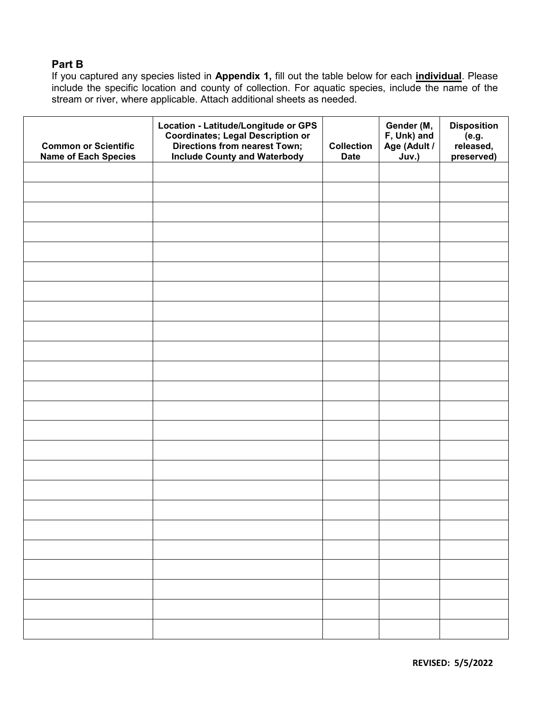# **Part B**

If you captured any species listed in **Appendix 1,** fill out the table below for each **individual**. Please include the specific location and county of collection. For aquatic species, include the name of the stream or river, where applicable. Attach additional sheets as needed.

| <b>Common or Scientific</b><br><b>Name of Each Species</b> | Location - Latitude/Longitude or GPS<br><b>Coordinates; Legal Description or<br/>Directions from nearest Town;</b><br><b>Include County and Waterbody</b> | <b>Collection</b><br><b>Date</b> | Gender (M,<br>F, Unk) and<br>Age (Adult /<br>Juv.) | <b>Disposition</b><br>(e.g.<br>released,<br>preserved) |
|------------------------------------------------------------|-----------------------------------------------------------------------------------------------------------------------------------------------------------|----------------------------------|----------------------------------------------------|--------------------------------------------------------|
|                                                            |                                                                                                                                                           |                                  |                                                    |                                                        |
|                                                            |                                                                                                                                                           |                                  |                                                    |                                                        |
|                                                            |                                                                                                                                                           |                                  |                                                    |                                                        |
|                                                            |                                                                                                                                                           |                                  |                                                    |                                                        |
|                                                            |                                                                                                                                                           |                                  |                                                    |                                                        |
|                                                            |                                                                                                                                                           |                                  |                                                    |                                                        |
|                                                            |                                                                                                                                                           |                                  |                                                    |                                                        |
|                                                            |                                                                                                                                                           |                                  |                                                    |                                                        |
|                                                            |                                                                                                                                                           |                                  |                                                    |                                                        |
|                                                            |                                                                                                                                                           |                                  |                                                    |                                                        |
|                                                            |                                                                                                                                                           |                                  |                                                    |                                                        |
|                                                            |                                                                                                                                                           |                                  |                                                    |                                                        |
|                                                            |                                                                                                                                                           |                                  |                                                    |                                                        |
|                                                            |                                                                                                                                                           |                                  |                                                    |                                                        |
|                                                            |                                                                                                                                                           |                                  |                                                    |                                                        |
|                                                            |                                                                                                                                                           |                                  |                                                    |                                                        |
|                                                            |                                                                                                                                                           |                                  |                                                    |                                                        |
|                                                            |                                                                                                                                                           |                                  |                                                    |                                                        |
|                                                            |                                                                                                                                                           |                                  |                                                    |                                                        |
|                                                            |                                                                                                                                                           |                                  |                                                    |                                                        |
|                                                            |                                                                                                                                                           |                                  |                                                    |                                                        |
|                                                            |                                                                                                                                                           |                                  |                                                    |                                                        |
|                                                            |                                                                                                                                                           |                                  |                                                    |                                                        |
|                                                            |                                                                                                                                                           |                                  |                                                    |                                                        |

**REVISED: 5/5/2022**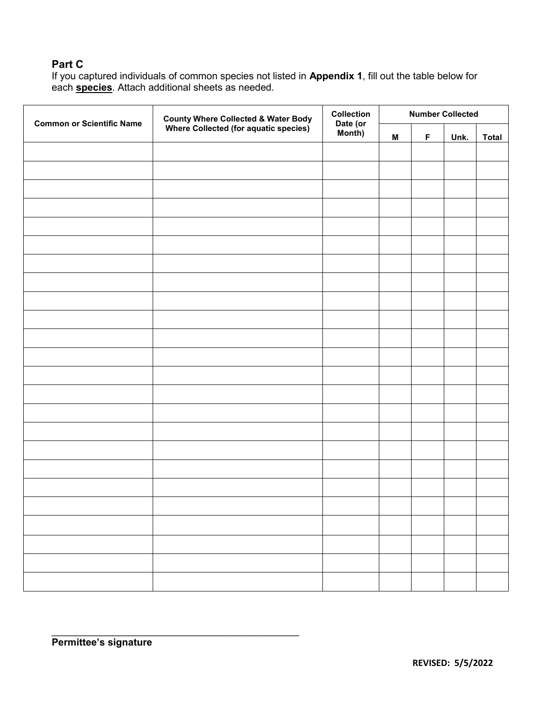# **Part C**

If you captured individuals of common species not listed in **Appendix 1**, fill out the table below for each **species**. Attach additional sheets as needed.

| <b>County Where Collected &amp; Water Body</b> | <b>Collection</b>                     |          |             |      |                         |
|------------------------------------------------|---------------------------------------|----------|-------------|------|-------------------------|
|                                                | Month)                                | M        | $\mathsf F$ | Unk. | <b>Total</b>            |
|                                                |                                       |          |             |      |                         |
|                                                |                                       |          |             |      |                         |
|                                                |                                       |          |             |      |                         |
|                                                |                                       |          |             |      |                         |
|                                                |                                       |          |             |      |                         |
|                                                |                                       |          |             |      |                         |
|                                                |                                       |          |             |      |                         |
|                                                |                                       |          |             |      |                         |
|                                                |                                       |          |             |      |                         |
|                                                |                                       |          |             |      |                         |
|                                                |                                       |          |             |      |                         |
|                                                |                                       |          |             |      |                         |
|                                                |                                       |          |             |      |                         |
|                                                |                                       |          |             |      |                         |
|                                                |                                       |          |             |      |                         |
|                                                |                                       |          |             |      |                         |
|                                                |                                       |          |             |      |                         |
|                                                |                                       |          |             |      |                         |
|                                                |                                       |          |             |      |                         |
|                                                |                                       |          |             |      |                         |
|                                                |                                       |          |             |      |                         |
|                                                |                                       |          |             |      |                         |
|                                                |                                       |          |             |      |                         |
|                                                |                                       |          |             |      |                         |
|                                                | Where Collected (for aquatic species) | Date (or |             |      | <b>Number Collected</b> |

\_\_\_\_\_\_\_\_\_\_\_\_\_\_\_\_\_\_\_\_\_\_\_\_\_\_\_\_\_\_\_\_\_\_\_\_\_\_\_\_\_\_\_\_\_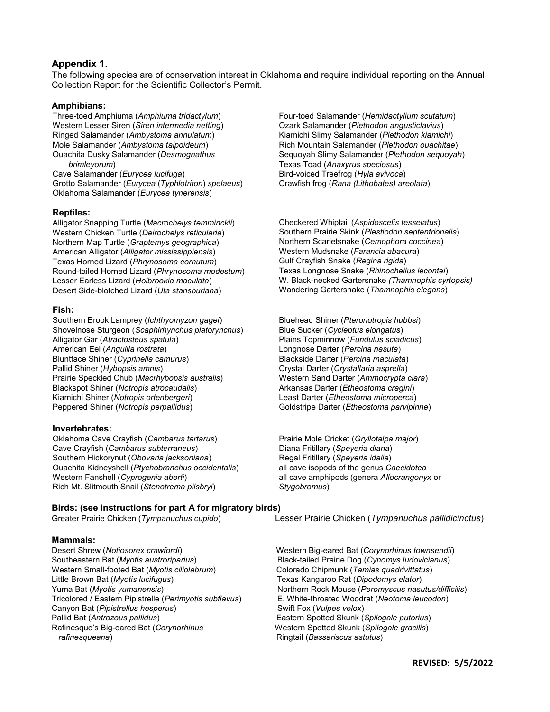### **Appendix 1.**

The following species are of conservation interest in Oklahoma and require individual reporting on the Annual Collection Report for the Scientific Collector's Permit.

### **Amphibians:**

Three-toed Amphiuma (*Amphiuma tridactylum*) Western Lesser Siren (*Siren intermedia netting*) Ringed Salamander (*Ambystoma annulatum*) Mole Salamander (*Ambystoma talpoideum*) Ouachita Dusky Salamander (*Desmognathus brimleyorum*) Cave Salamander (*Eurycea lucifuga*) Grotto Salamander (*Eurycea* (*Typhlotriton*) *spelaeus*)

Oklahoma Salamander (*Eurycea tynerensis*)

# **Reptiles:**

Alligator Snapping Turtle (*Macrochelys temminckii*) Western Chicken Turtle (*Deirochelys reticularia*) Northern Map Turtle (*Graptemys geographica*) American Alligator (*Alligator mississippiensis*) Texas Horned Lizard (*Phrynosoma cornutum*) Round-tailed Horned Lizard (*Phrynosoma modestum*) Lesser Earless Lizard (*Holbrookia maculata*) Desert Side-blotched Lizard (*Uta stansburiana*)

### **Fish:**

Southern Brook Lamprey (*Ichthyomyzon gagei*) Shovelnose Sturgeon (*Scaphirhynchus platorynchus*) Alligator Gar (*Atractosteus spatula*) American Eel (*Anguilla rostrata*) Bluntface Shiner (*Cyprinella camurus*) Pallid Shiner (*Hybopsis amnis*) Prairie Speckled Chub (*Macrhybopsis australis*) Blackspot Shiner (*Notropis atrocaudalis*) Kiamichi Shiner (*Notropis ortenbergeri*) Peppered Shiner (*Notropis perpallidus*)

### **Invertebrates:**

Oklahoma Cave Crayfish (*Cambarus tartarus*) Cave Crayfish (*Cambarus subterraneus*) Southern Hickorynut (*Obovaria jacksoniana*) Ouachita Kidneyshell (*Ptychobranchus occidentalis*) Western Fanshell (*Cyprogenia aberti*) Rich Mt. Slitmouth Snail (*Stenotrema pilsbryi*)

### **Birds: (see instructions for part A for migratory birds)**

**Mammals:**<br>Desert Shrew (Notiosorex crawfordi) Southeastern Bat (*Myotis austroriparius*) Black-tailed Prairie Dog (*Cynomys ludovicianus*) Western Small-footed Bat (*Myotis ciliolabrum*) Colorado Chipmunk (*Tamias quadrivittatus*) Little Brown Bat (*Myotis lucifugus*) Texas Kangaroo Rat (*Dipodomys elator*) Tricolored / Eastern Pipistrelle (*Perimyotis subflavus*) E. White-throated Woodr<br>Canyon Bat (*Pipistrellus hesperus*) Swift Fox (*Vulpes velox*) Canyon Bat (*Pipistrellus hesperus*)<br>Pallid Bat (*Antrozous pallidus*) Pallid Bat (*Antrozous pallidus*) Eastern Spotted Skunk (*Spilogale putorius*) *rafinesqueana*) *rafinesqueana networks Ringtail (<i>Bassariscus astutus***) <b>***Ringtail (Bassariscus astutus)* 

Four-toed Salamander (*Hemidactylium scutatum*) Ozark Salamander (*Plethodon angusticlavius*) Kiamichi Slimy Salamander (*Plethodon kiamichi*) Rich Mountain Salamander (*Plethodon ouachitae*) Sequoyah Slimy Salamander (*Plethodon sequoyah*) Texas Toad (*Anaxyrus speciosus*) Bird-voiced Treefrog (*Hyla avivoca*) Crawfish frog (*Rana (Lithobates) areolata*)

Checkered Whiptail (*Aspidoscelis tesselatus*) Southern Prairie Skink (*Plestiodon septentrionalis*) Northern Scarletsnake (*Cemophora coccinea*) Western Mudsnake (*Farancia abacura*) Gulf Crayfish Snake (*Regina rigida*) Texas Longnose Snake (*Rhinocheilus lecontei*) W. Black-necked Gartersnake *(Thamnophis cyrtopsis)* Wandering Gartersnake (*Thamnophis elegans*)

Bluehead Shiner (*Pteronotropis hubbsi*) Blue Sucker (*Cycleptus elongatus*) Plains Topminnow (*Fundulus sciadicus*) Longnose Darter (*Percina nasuta*) Blackside Darter (*Percina maculata*) Crystal Darter (*Crystallaria asprella*) Western Sand Darter (*Ammocrypta clara*) Arkansas Darter (*Etheostoma cragini*) Least Darter (*Etheostoma microperca*) Goldstripe Darter (*Etheostoma parvipinne*)

Prairie Mole Cricket (*Gryllotalpa major*) Diana Fritillary (*Speyeria diana*) Regal Fritillary (*Speyeria idalia*) all cave isopods of the genus *Caecidotea* all cave amphipods (genera *Allocrangonyx* or *Stygobromus*)

Greater Prairie Chicken (*Tympanuchus cupido*) Lesser Prairie Chicken (*Tympanuchus pallidicinctus*)

Western Big-eared Bat (*Corynorhinus townsendii*) Northern Rock Mouse (*Peromyscus nasutus/difficilis*)<br>E. White-throated Woodrat (*Neotoma leucodon*) **Western Spotted Skunk (Spilogale gracilis)**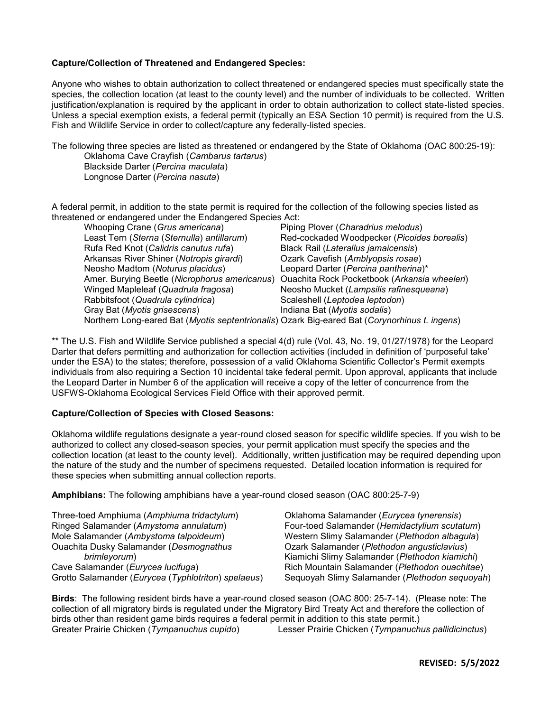### **Capture/Collection of Threatened and Endangered Species:**

Anyone who wishes to obtain authorization to collect threatened or endangered species must specifically state the species, the collection location (at least to the county level) and the number of individuals to be collected. Written justification/explanation is required by the applicant in order to obtain authorization to collect state-listed species. Unless a special exemption exists, a federal permit (typically an ESA Section 10 permit) is required from the U.S. Fish and Wildlife Service in order to collect/capture any federally-listed species.

The following three species are listed as threatened or endangered by the State of Oklahoma (OAC 800:25-19): Oklahoma Cave Crayfish (*Cambarus tartarus*) Blackside Darter (*Percina maculata*) Longnose Darter (*Percina nasuta*)

A federal permit, in addition to the state permit is required for the collection of the following species listed as threatened or endangered under the Endangered Species Act:

| Whooping Crane (Grus americana)                                                               | Piping Plover (Charadrius melodus)           |
|-----------------------------------------------------------------------------------------------|----------------------------------------------|
| Least Tern (Sterna (Sternulla) antillarum)                                                    | Red-cockaded Woodpecker (Picoides borealis)  |
| Rufa Red Knot (Calidris canutus rufa)                                                         | Black Rail (Laterallus jamaicensis)          |
| Arkansas River Shiner (Notropis girardi)                                                      | Ozark Cavefish (Amblyopsis rosae)            |
| Neosho Madtom (Noturus placidus)                                                              | Leopard Darter (Percina pantherina)*         |
| Amer. Burying Beetle (Nicrophorus americanus)                                                 | Ouachita Rock Pocketbook (Arkansia wheeleri) |
| Winged Mapleleaf (Quadrula fragosa)                                                           | Neosho Mucket (Lampsilis rafinesqueana)      |
| Rabbitsfoot (Quadrula cylindrica)                                                             | Scaleshell (Leptodea leptodon)               |
| Gray Bat (Myotis grisescens)                                                                  | Indiana Bat (Myotis sodalis)                 |
| Northern Long-eared Bat (Myotis septentrionalis) Ozark Big-eared Bat (Corynorhinus t. ingens) |                                              |
|                                                                                               |                                              |

\*\* The U.S. Fish and Wildlife Service published a special 4(d) rule (Vol. 43, No. 19, 01/27/1978) for the Leopard Darter that defers permitting and authorization for collection activities (included in definition of 'purposeful take' under the ESA) to the states; therefore, possession of a valid Oklahoma Scientific Collector's Permit exempts individuals from also requiring a Section 10 incidental take federal permit. Upon approval, applicants that include the Leopard Darter in Number 6 of the application will receive a copy of the letter of concurrence from the USFWS-Oklahoma Ecological Services Field Office with their approved permit.

### **Capture/Collection of Species with Closed Seasons:**

Oklahoma wildlife regulations designate a year-round closed season for specific wildlife species. If you wish to be authorized to collect any closed-season species, your permit application must specify the species and the collection location (at least to the county level). Additionally, written justification may be required depending upon the nature of the study and the number of specimens requested. Detailed location information is required for these species when submitting annual collection reports.

**Amphibians:** The following amphibians have a year-round closed season (OAC 800:25-7-9)

Three-toed Amphiuma (*Amphiuma tridactylum*) Ringed Salamander (*Amystoma annulatum*) Mole Salamander (*Ambystoma talpoideum*) Ouachita Dusky Salamander (*Desmognathus brimleyorum*) Cave Salamander (*Eurycea lucifuga*) Grotto Salamander (*Eurycea* (*Typhlotriton*) *spelaeus*) Oklahoma Salamander (*Eurycea tynerensis*) Four-toed Salamander (*Hemidactylium scutatum*) Western Slimy Salamander (*Plethodon albagula*) Ozark Salamander (*Plethodon angusticlavius*) Kiamichi Slimy Salamander (*Plethodon kiamichi*) Rich Mountain Salamander (*Plethodon ouachitae*) Sequoyah Slimy Salamander (*Plethodon sequoyah*)

**Birds**: The following resident birds have a year-round closed season (OAC 800: 25-7-14). (Please note: The collection of all migratory birds is regulated under the Migratory Bird Treaty Act and therefore the collection of birds other than resident game birds requires a federal permit in addition to this state permit.)<br>Greater Prairie Chicken (Tympanuchus cupido) Lesser Prairie Chicken (Tympanuch Greater Prairie Chicken (*Tympanuchus cupido*) Lesser Prairie Chicken (*Tympanuchus pallidicinctus*)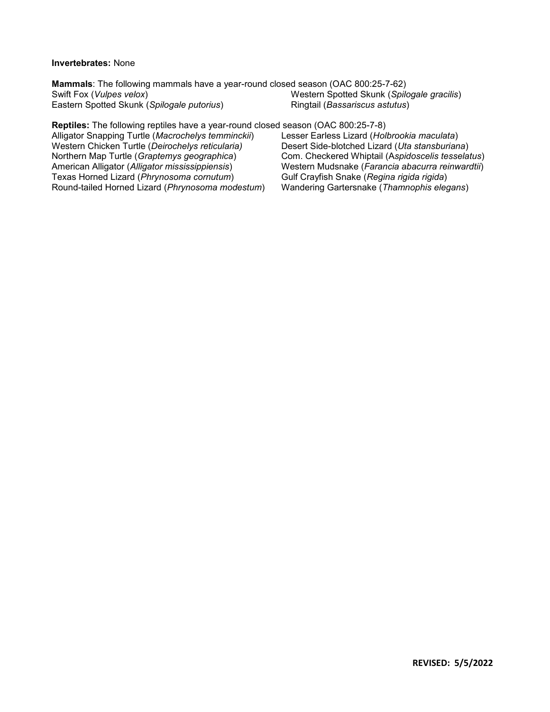### **Invertebrates:** None

**Mammals**: The following mammals have a year-round closed season (OAC 800:25-7-62) Swift Fox (*Vulpes velox*) Eastern Spotted Skunk (*Spilogale putorius*) Western Spotted Skunk (*Spilogale gracilis*) Ringtail (*Bassariscus astutus*)

**Reptiles:** The following reptiles have a year-round closed season (OAC 800:25-7-8) Alligator Snapping Turtle (*Macrochelys temminckii*) Western Chicken Turtle (*Deirochelys reticularia)* Northern Map Turtle (*Graptemys geographica*) American Alligator (*Alligator mississippiensis*) Texas Horned Lizard (*Phrynosoma cornutum*) Round-tailed Horned Lizard (*Phrynosoma modestum*) Lesser Earless Lizard (*Holbrookia maculata*) Desert Side-blotched Lizard (*Uta stansburiana*) Com. Checkered Whiptail (A*spidoscelis tesselatus*) Western Mudsnake (*Farancia abacurra reinwardtii*) Gulf Crayfish Snake (*Regina rigida rigida*) Wandering Gartersnake (*Thamnophis elegans*)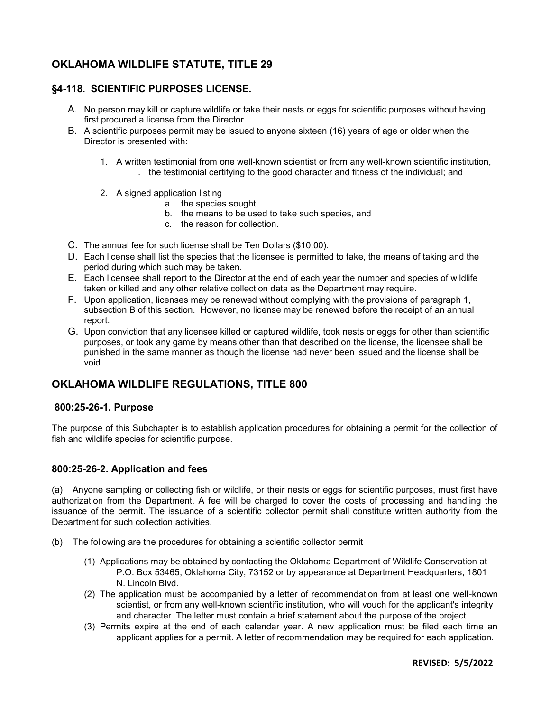# **OKLAHOMA WILDLIFE STATUTE, TITLE 29**

### **§4-118. SCIENTIFIC PURPOSES LICENSE.**

- A. No person may kill or capture wildlife or take their nests or eggs for scientific purposes without having first procured a license from the Director.
- B. A scientific purposes permit may be issued to anyone sixteen (16) years of age or older when the Director is presented with:
	- 1. A written testimonial from one well-known scientist or from any well-known scientific institution, i. the testimonial certifying to the good character and fitness of the individual; and
	- 2. A signed application listing
		- a. the species sought,
		- b. the means to be used to take such species, and
		- c. the reason for collection.
- C. The annual fee for such license shall be Ten Dollars (\$10.00).
- D. Each license shall list the species that the licensee is permitted to take, the means of taking and the period during which such may be taken.
- E. Each licensee shall report to the Director at the end of each year the number and species of wildlife taken or killed and any other relative collection data as the Department may require.
- F. Upon application, licenses may be renewed without complying with the provisions of paragraph 1, subsection B of this section. However, no license may be renewed before the receipt of an annual report.
- G. Upon conviction that any licensee killed or captured wildlife, took nests or eggs for other than scientific purposes, or took any game by means other than that described on the license, the licensee shall be punished in the same manner as though the license had never been issued and the license shall be void.

## **OKLAHOMA WILDLIFE REGULATIONS, TITLE 800**

### **800:25-26-1. Purpose**

The purpose of this Subchapter is to establish application procedures for obtaining a permit for the collection of fish and wildlife species for scientific purpose.

### **800:25-26-2. Application and fees**

(a) Anyone sampling or collecting fish or wildlife, or their nests or eggs for scientific purposes, must first have authorization from the Department. A fee will be charged to cover the costs of processing and handling the issuance of the permit. The issuance of a scientific collector permit shall constitute written authority from the Department for such collection activities.

- (b) The following are the procedures for obtaining a scientific collector permit
	- (1) Applications may be obtained by contacting the Oklahoma Department of Wildlife Conservation at P.O. Box 53465, Oklahoma City, 73152 or by appearance at Department Headquarters, 1801 N. Lincoln Blvd.
	- (2) The application must be accompanied by a letter of recommendation from at least one well-known scientist, or from any well-known scientific institution, who will vouch for the applicant's integrity and character. The letter must contain a brief statement about the purpose of the project.
	- (3) Permits expire at the end of each calendar year. A new application must be filed each time an applicant applies for a permit. A letter of recommendation may be required for each application.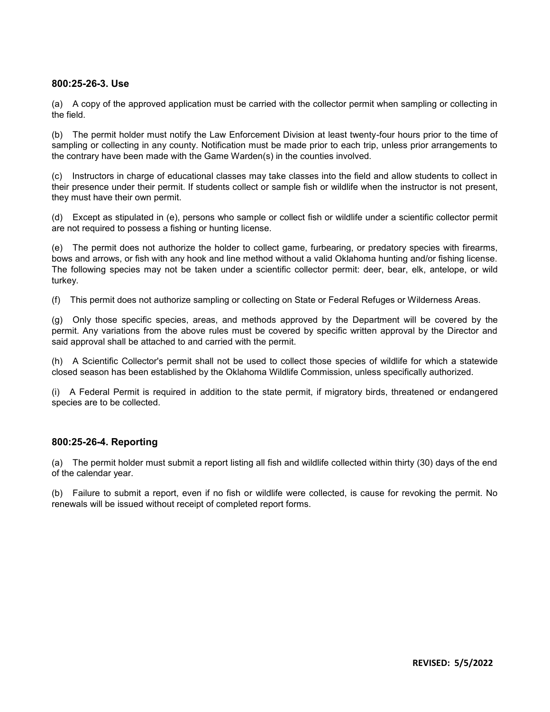### **800:25-26-3. Use**

(a) A copy of the approved application must be carried with the collector permit when sampling or collecting in the field.

(b) The permit holder must notify the Law Enforcement Division at least twenty-four hours prior to the time of sampling or collecting in any county. Notification must be made prior to each trip, unless prior arrangements to the contrary have been made with the Game Warden(s) in the counties involved.

(c) Instructors in charge of educational classes may take classes into the field and allow students to collect in their presence under their permit. If students collect or sample fish or wildlife when the instructor is not present, they must have their own permit.

(d) Except as stipulated in (e), persons who sample or collect fish or wildlife under a scientific collector permit are not required to possess a fishing or hunting license.

(e) The permit does not authorize the holder to collect game, furbearing, or predatory species with firearms, bows and arrows, or fish with any hook and line method without a valid Oklahoma hunting and/or fishing license. The following species may not be taken under a scientific collector permit: deer, bear, elk, antelope, or wild turkey.

(f) This permit does not authorize sampling or collecting on State or Federal Refuges or Wilderness Areas.

(g) Only those specific species, areas, and methods approved by the Department will be covered by the permit. Any variations from the above rules must be covered by specific written approval by the Director and said approval shall be attached to and carried with the permit.

(h) A Scientific Collector's permit shall not be used to collect those species of wildlife for which a statewide closed season has been established by the Oklahoma Wildlife Commission, unless specifically authorized.

(i) A Federal Permit is required in addition to the state permit, if migratory birds, threatened or endangered species are to be collected.

### **800:25-26-4. Reporting**

(a) The permit holder must submit a report listing all fish and wildlife collected within thirty (30) days of the end of the calendar year.

(b) Failure to submit a report, even if no fish or wildlife were collected, is cause for revoking the permit. No renewals will be issued without receipt of completed report forms.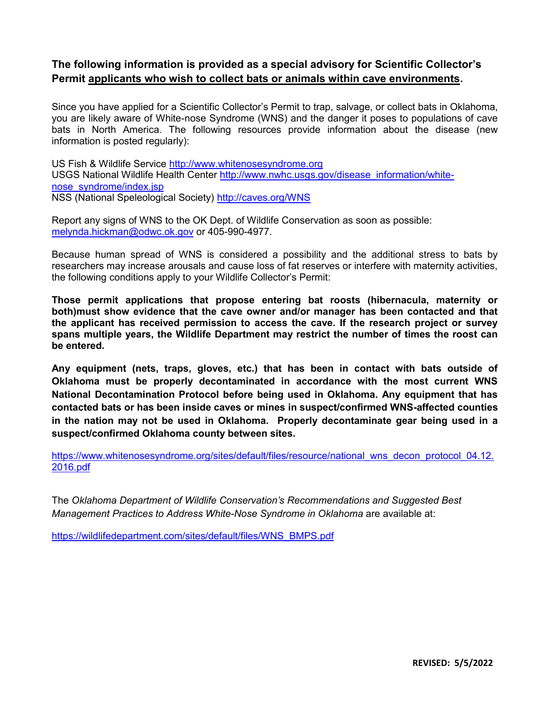# **The following information is provided as a special advisory for Scientific Collector's Permit applicants who wish to collect bats or animals within cave environments.**

Since you have applied for a Scientific Collector's Permit to trap, salvage, or collect bats in Oklahoma, you are likely aware of White-nose Syndrome (WNS) and the danger it poses to populations of cave bats in North America. The following resources provide information about the disease (new information is posted regularly):

US Fish & Wildlife Service [http://www.whitenosesyndrome.org](http://www.whitenosesyndrome.org/) USGS National Wildlife Health Center [http://www.nwhc.usgs.gov/disease\\_information/white](http://www.nwhc.usgs.gov/disease_information/white-nose_syndrome/index.jsp)[nose\\_syndrome/index.jsp](http://www.nwhc.usgs.gov/disease_information/white-nose_syndrome/index.jsp) NSS (National Speleological Society)<http://caves.org/WNS>

Report any signs of WNS to the OK Dept. of Wildlife Conservation as soon as possible: [melynda.hickman@odwc.ok.gov](mailto:melynda.hickman@odwc.ok.gov) or 405-990-4977.

Because human spread of WNS is considered a possibility and the additional stress to bats by researchers may increase arousals and cause loss of fat reserves or interfere with maternity activities, the following conditions apply to your Wildlife Collector's Permit:

**Those permit applications that propose entering bat roosts (hibernacula, maternity or both)must show evidence that the cave owner and/or manager has been contacted and that the applicant has received permission to access the cave. If the research project or survey spans multiple years, the Wildlife Department may restrict the number of times the roost can be entered.** 

**Any equipment (nets, traps, gloves, etc.) that has been in contact with bats outside of Oklahoma must be properly decontaminated in accordance with the most current WNS National Decontamination Protocol before being used in Oklahoma. Any equipment that has contacted bats or has been inside caves or mines in suspect/confirmed WNS-affected counties in the nation may not be used in Oklahoma. Properly decontaminate gear being used in a suspect/confirmed Oklahoma county between sites.** 

[https://www.whitenosesyndrome.org/sites/default/files/resource/national\\_wns\\_decon\\_protocol\\_04.12.](https://www.whitenosesyndrome.org/sites/default/files/resource/national_wns_decon_protocol_04.12.2016.pdf) [2016.pdf](https://www.whitenosesyndrome.org/sites/default/files/resource/national_wns_decon_protocol_04.12.2016.pdf)

The *Oklahoma Department of Wildlife Conservation's Recommendations and Suggested Best Management Practices to Address White-Nose Syndrome in Oklahoma* are available at:

[https://wildlifedepartment.com/sites/default/files/WNS\\_BMPS.pdf](https://wildlifedepartment.com/sites/default/files/WNS_BMPS.pdf)